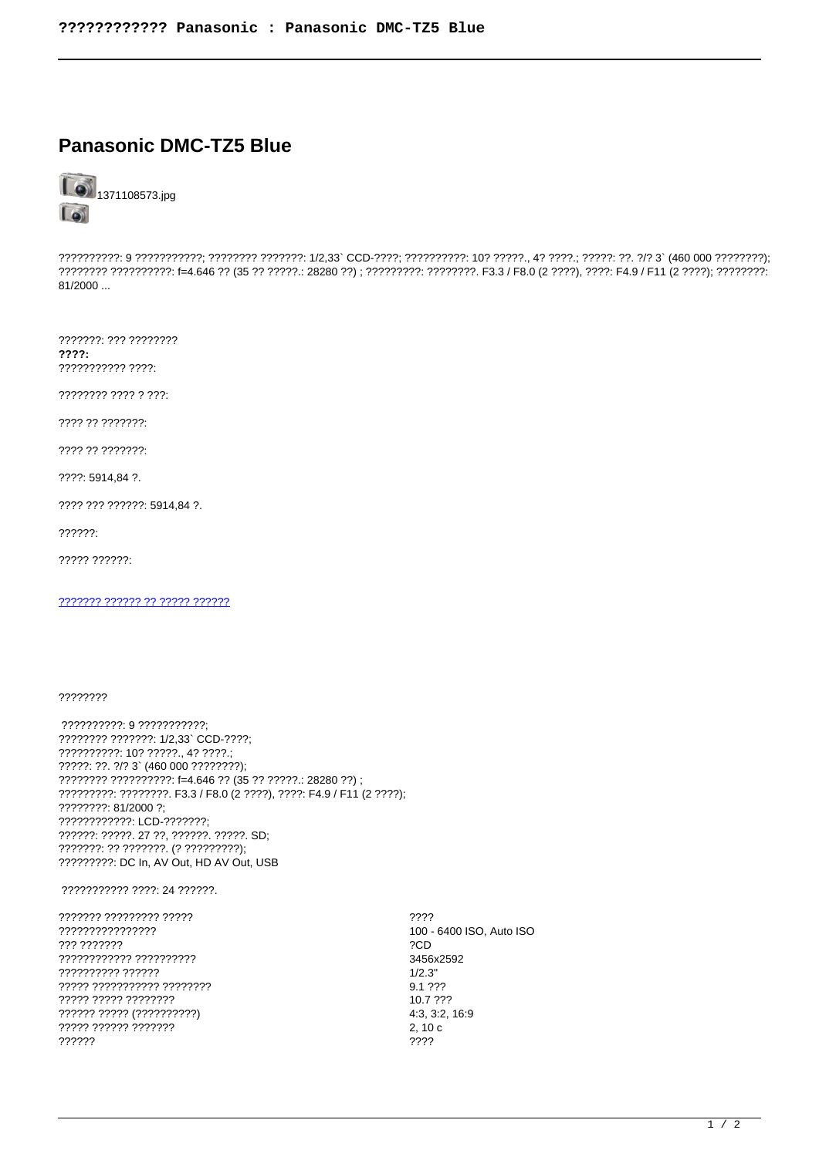## **Panasonic DMC-TZ5 Blue**



??????????: 9 ???????????; ???????? ???????: 1/2,33`CCD-????; ??????????: 10? ?????., 4? ????.; ?????: ??. ?/? 3` (460 000 ????????); ???????? ??????????: f=4.646 ?? (35 ?? ?????.: 28280 ??) ; ?????????: ????????. F3.3 / F8.0 (2 ????), ????: F4.9 / F11 (2 ????); ????????: 81/2000...

???????: ??? ????????  $????:$ ??????????? ????:

???????? ???? ? ???:

???? ?? ???????:

???? ?? ???????:

????: 5914,84 ?.

???? ??? ??????: 5914.84 ?.

??????:

????? ??????:

2222222 222222 22 22222 222222

## ????????

?????????? 9 ???????????; ???????? ???????: 1/2,33` CCD-????; ??????????: 10? ?????., 4? ????.; ?????: ??. ?/? 3` (460 000 ????????); ???????? ??????????: f=4.646 ?? (35 ?? ?????.: 28280 ??) ; ?????????: ????????. F3.3 / F8.0 (2 ????), ????: F4.9 / F11 (2 ????); ????????: 81/2000 ?: ???????????? LCD-??????? ??????: ?????. 27 ??, ??????. ?????. SD; ???????: ?? ???????. (? ?????????); ????????? DC In, AV Out, HD AV Out, USB

## ??????????? ????: 24 ??????.

??????? ????????? ????? ???????????????? 777 7777777 ???????????? ?????????? ?????????? ?????? ????? ??????????? ???????? ????? ????? ???????? ?????? ????? (??????????) ????? ?????? ??????? ??????

???? 100 - 6400 ISO, Auto ISO ?CD 3456x2592  $1/2.3"$ 9.1 ??? 10.7 ??? 4:3, 3:2, 16:9  $2.10c$ ????